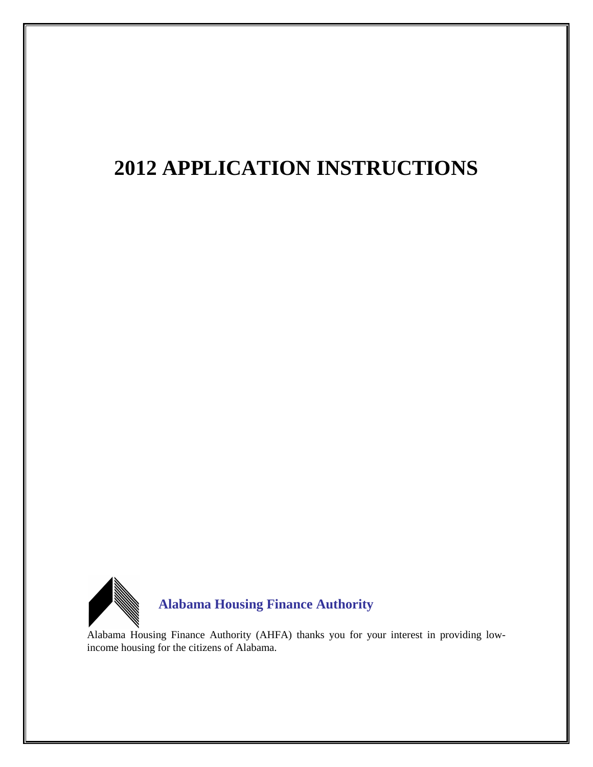# **2012 APPLICATION INSTRUCTIONS**



Alabama Housing Finance Authority (AHFA) thanks you for your interest in providing lowincome housing for the citizens of Alabama.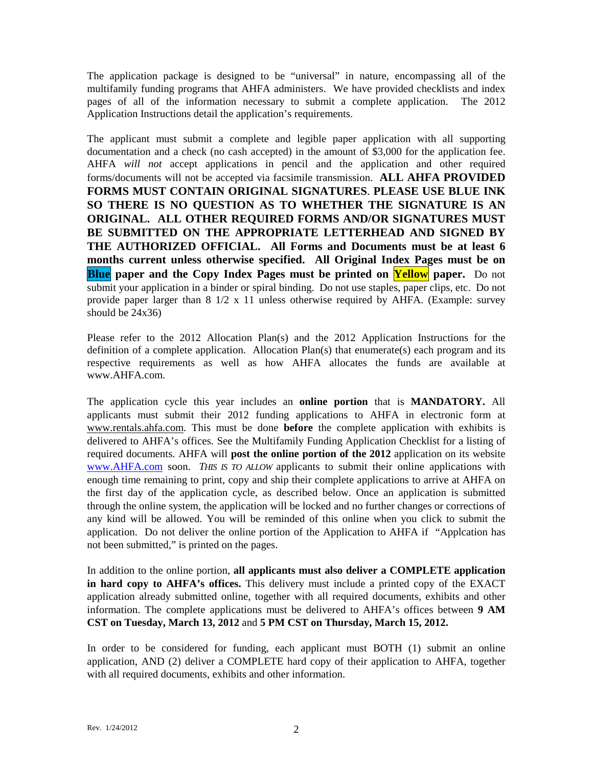The application package is designed to be "universal" in nature, encompassing all of the multifamily funding programs that AHFA administers. We have provided checklists and index pages of all of the information necessary to submit a complete application. The 2012 Application Instructions detail the application's requirements.

The applicant must submit a complete and legible paper application with all supporting documentation and a check (no cash accepted) in the amount of \$3,000 for the application fee. AHFA *will not* accept applications in pencil and the application and other required forms/documents will not be accepted via facsimile transmission. **ALL AHFA PROVIDED FORMS MUST CONTAIN ORIGINAL SIGNATURES**. **PLEASE USE BLUE INK SO THERE IS NO QUESTION AS TO WHETHER THE SIGNATURE IS AN ORIGINAL. ALL OTHER REQUIRED FORMS AND/OR SIGNATURES MUST BE SUBMITTED ON THE APPROPRIATE LETTERHEAD AND SIGNED BY THE AUTHORIZED OFFICIAL. All Forms and Documents must be at least 6 months current unless otherwise specified. All Original Index Pages must be on Blue paper and the Copy Index Pages must be printed on Yellow paper.** Do not submit your application in a binder or spiral binding. Do not use staples, paper clips, etc. Do not provide paper larger than  $8 \frac{1}{2} \times 11$  unless otherwise required by AHFA. (Example: survey should be 24x36)

Please refer to the 2012 Allocation Plan(s) and the 2012 Application Instructions for the definition of a complete application. Allocation  $Plan(s)$  that enumerate(s) each program and its respective requirements as well as how AHFA allocates the funds are available at www.AHFA.com.

The application cycle this year includes an **online portion** that is **MANDATORY.** All applicants must submit their 2012 funding applications to AHFA in electronic form at [www.rentals.ahfa.com.](http://www.rentals.ahfa.com/) This must be done **before** the complete application with exhibits is delivered to AHFA's offices. See the Multifamily Funding Application Checklist for a listing of required documents. AHFA will **post the online portion of the 2012** application on its website [www.AHFA.com](http://www.ahfa.com/) soon. *THIS IS TO ALLOW* applicants to submit their online applications with enough time remaining to print, copy and ship their complete applications to arrive at AHFA on the first day of the application cycle, as described below. Once an application is submitted through the online system, the application will be locked and no further changes or corrections of any kind will be allowed. You will be reminded of this online when you click to submit the application. Do not deliver the online portion of the Application to AHFA if "Applcation has not been submitted," is printed on the pages.

In addition to the online portion, **all applicants must also deliver a COMPLETE application in hard copy to AHFA's offices.** This delivery must include a printed copy of the EXACT application already submitted online, together with all required documents, exhibits and other information. The complete applications must be delivered to AHFA's offices between **9 AM CST on Tuesday, March 13, 2012** and **5 PM CST on Thursday, March 15, 2012.**

In order to be considered for funding, each applicant must BOTH (1) submit an online application, AND (2) deliver a COMPLETE hard copy of their application to AHFA, together with all required documents, exhibits and other information.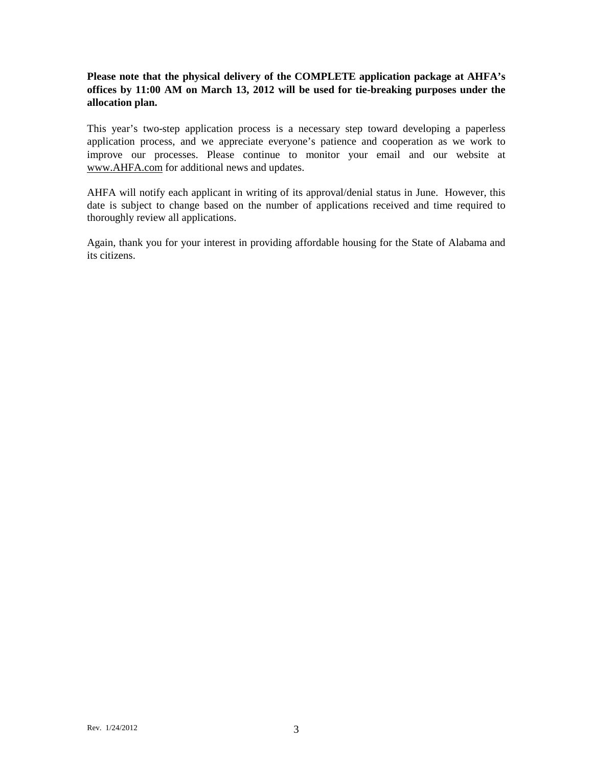## **Please note that the physical delivery of the COMPLETE application package at AHFA's offices by 11:00 AM on March 13, 2012 will be used for tie-breaking purposes under the allocation plan.**

This year's two-step application process is a necessary step toward developing a paperless application process, and we appreciate everyone's patience and cooperation as we work to improve our processes. Please continue to monitor your email and our website at [www.AHFA.com](http://www.ahfa.com/) for additional news and updates.

AHFA will notify each applicant in writing of its approval/denial status in June. However, this date is subject to change based on the number of applications received and time required to thoroughly review all applications.

Again, thank you for your interest in providing affordable housing for the State of Alabama and its citizens.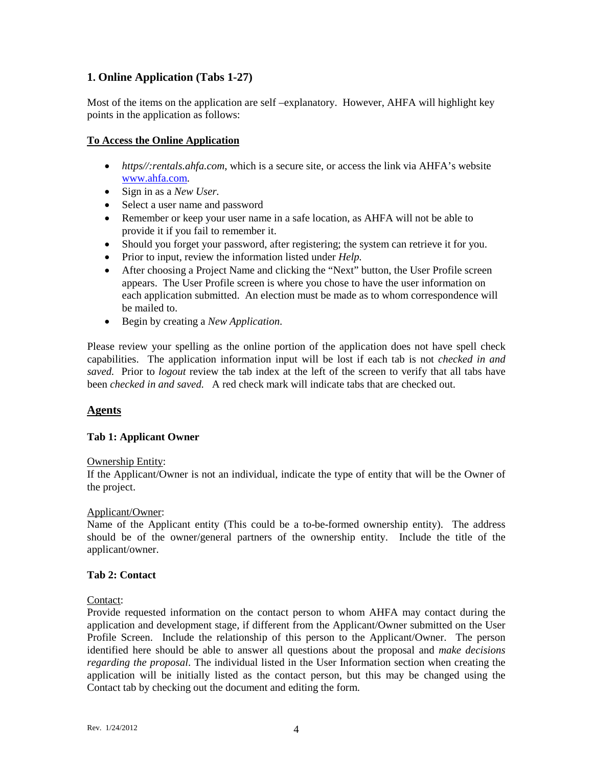## **1. Online Application (Tabs 1-27)**

Most of the items on the application are self –explanatory. However, AHFA will highlight key points in the application as follows:

#### **To Access the Online Application**

- *https//:rentals.ahfa.com*, which is a secure site, or access the link via AHFA's website [www.ahfa.com.](http://www.ahfa.com/)
- Sign in as a *New User.*
- Select a user name and password
- Remember or keep your user name in a safe location, as AHFA will not be able to provide it if you fail to remember it.
- Should you forget your password, after registering; the system can retrieve it for you.
- Prior to input, review the information listed under *Help.*
- After choosing a Project Name and clicking the "Next" button, the User Profile screen appears. The User Profile screen is where you chose to have the user information on each application submitted.An election must be made as to whom correspondence will be mailed to.
- Begin by creating a *New Application*.

Please review your spelling as the online portion of the application does not have spell check capabilities. The application information input will be lost if each tab is not *checked in and saved.* Prior to *logout* review the tab index at the left of the screen to verify that all tabs have been *checked in and saved.* A red check mark will indicate tabs that are checked out.

#### **Agents**

#### **Tab 1: Applicant Owner**

#### Ownership Entity:

If the Applicant/Owner is not an individual, indicate the type of entity that will be the Owner of the project.

#### Applicant/Owner:

Name of the Applicant entity (This could be a to-be-formed ownership entity). The address should be of the owner/general partners of the ownership entity. Include the title of the applicant/owner.

#### **Tab 2: Contact**

#### Contact:

Provide requested information on the contact person to whom AHFA may contact during the application and development stage, if different from the Applicant/Owner submitted on the User Profile Screen. Include the relationship of this person to the Applicant/Owner. The person identified here should be able to answer all questions about the proposal and *make decisions regarding the proposal*. The individual listed in the User Information section when creating the application will be initially listed as the contact person, but this may be changed using the Contact tab by checking out the document and editing the form.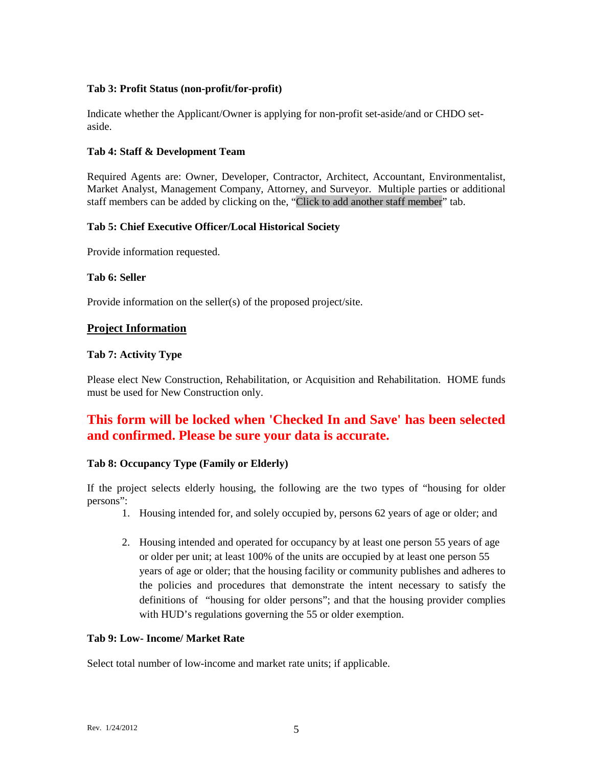## **Tab 3: Profit Status (non-profit/for-profit)**

Indicate whether the Applicant/Owner is applying for non-profit set-aside/and or CHDO setaside.

#### **Tab 4: Staff & Development Team**

Required Agents are: Owner, Developer, Contractor, Architect, Accountant, Environmentalist, Market Analyst, Management Company, Attorney, and Surveyor. Multiple parties or additional staff members can be added by clicking on the, "Click to add another staff member" tab.

#### **Tab 5: Chief Executive Officer/Local Historical Society**

Provide information requested.

## **Tab 6: Seller**

Provide information on the seller(s) of the proposed project/site.

## **Project Information**

## **Tab 7: Activity Type**

Please elect New Construction, Rehabilitation, or Acquisition and Rehabilitation. HOME funds must be used for New Construction only.

## **This form will be locked when 'Checked In and Save' has been selected and confirmed. Please be sure your data is accurate.**

#### **Tab 8: Occupancy Type (Family or Elderly)**

If the project selects elderly housing, the following are the two types of "housing for older persons":

- 1. Housing intended for, and solely occupied by, persons 62 years of age or older; and
- 2. Housing intended and operated for occupancy by at least one person 55 years of age or older per unit; at least 100% of the units are occupied by at least one person 55 years of age or older; that the housing facility or community publishes and adheres to the policies and procedures that demonstrate the intent necessary to satisfy the definitions of "housing for older persons"; and that the housing provider complies with HUD's regulations governing the 55 or older exemption.

## **Tab 9: Low- Income/ Market Rate**

Select total number of low-income and market rate units; if applicable.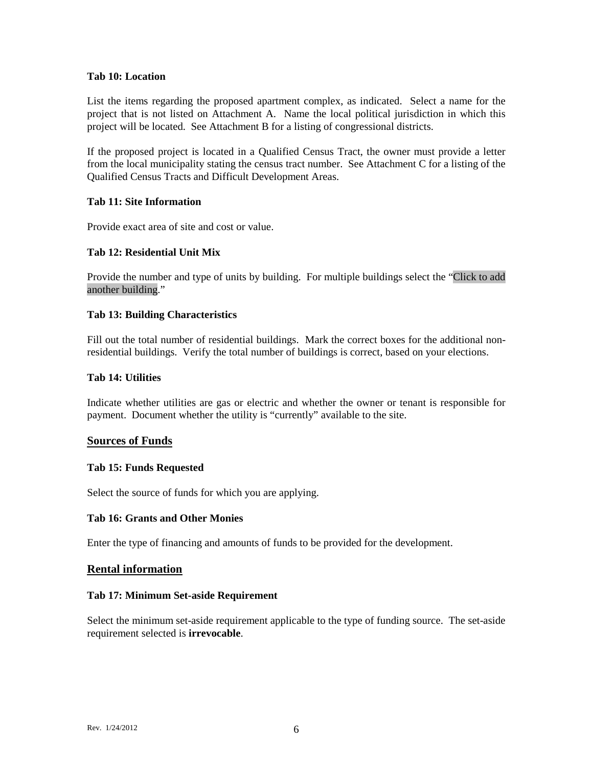#### **Tab 10: Location**

List the items regarding the proposed apartment complex, as indicated. Select a name for the project that is not listed on Attachment A. Name the local political jurisdiction in which this project will be located. See Attachment B for a listing of congressional districts.

If the proposed project is located in a Qualified Census Tract, the owner must provide a letter from the local municipality stating the census tract number. See Attachment C for a listing of the Qualified Census Tracts and Difficult Development Areas.

#### **Tab 11: Site Information**

Provide exact area of site and cost or value.

#### **Tab 12: Residential Unit Mix**

Provide the number and type of units by building. For multiple buildings select the "Click to add another building."

#### **Tab 13: Building Characteristics**

Fill out the total number of residential buildings. Mark the correct boxes for the additional nonresidential buildings. Verify the total number of buildings is correct, based on your elections.

#### **Tab 14: Utilities**

Indicate whether utilities are gas or electric and whether the owner or tenant is responsible for payment. Document whether the utility is "currently" available to the site.

#### **Sources of Funds**

#### **Tab 15: Funds Requested**

Select the source of funds for which you are applying.

#### **Tab 16: Grants and Other Monies**

Enter the type of financing and amounts of funds to be provided for the development.

#### **Rental information**

#### **Tab 17: Minimum Set-aside Requirement**

Select the minimum set-aside requirement applicable to the type of funding source. The set-aside requirement selected is **irrevocable**.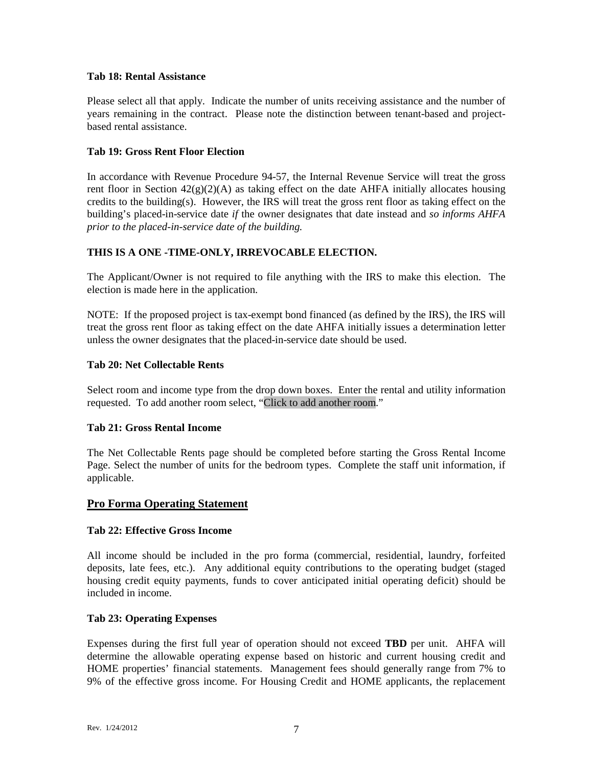#### **Tab 18: Rental Assistance**

Please select all that apply. Indicate the number of units receiving assistance and the number of years remaining in the contract. Please note the distinction between tenant-based and projectbased rental assistance.

#### **Tab 19: Gross Rent Floor Election**

In accordance with Revenue Procedure 94-57, the Internal Revenue Service will treat the gross rent floor in Section  $42(g)(2)(A)$  as taking effect on the date AHFA initially allocates housing credits to the building(s). However, the IRS will treat the gross rent floor as taking effect on the building's placed-in-service date *if* the owner designates that date instead and *so informs AHFA prior to the placed-in-service date of the building.*

## **THIS IS A ONE -TIME-ONLY, IRREVOCABLE ELECTION.**

The Applicant/Owner is not required to file anything with the IRS to make this election. The election is made here in the application.

NOTE: If the proposed project is tax-exempt bond financed (as defined by the IRS), the IRS will treat the gross rent floor as taking effect on the date AHFA initially issues a determination letter unless the owner designates that the placed-in-service date should be used.

#### **Tab 20: Net Collectable Rents**

Select room and income type from the drop down boxes. Enter the rental and utility information requested. To add another room select, "Click to add another room."

#### **Tab 21: Gross Rental Income**

The Net Collectable Rents page should be completed before starting the Gross Rental Income Page. Select the number of units for the bedroom types. Complete the staff unit information, if applicable.

#### **Pro Forma Operating Statement**

#### **Tab 22: Effective Gross Income**

All income should be included in the pro forma (commercial, residential, laundry, forfeited deposits, late fees, etc.). Any additional equity contributions to the operating budget (staged housing credit equity payments, funds to cover anticipated initial operating deficit) should be included in income.

#### **Tab 23: Operating Expenses**

Expenses during the first full year of operation should not exceed **TBD** per unit. AHFA will determine the allowable operating expense based on historic and current housing credit and HOME properties' financial statements. Management fees should generally range from 7% to 9% of the effective gross income. For Housing Credit and HOME applicants, the replacement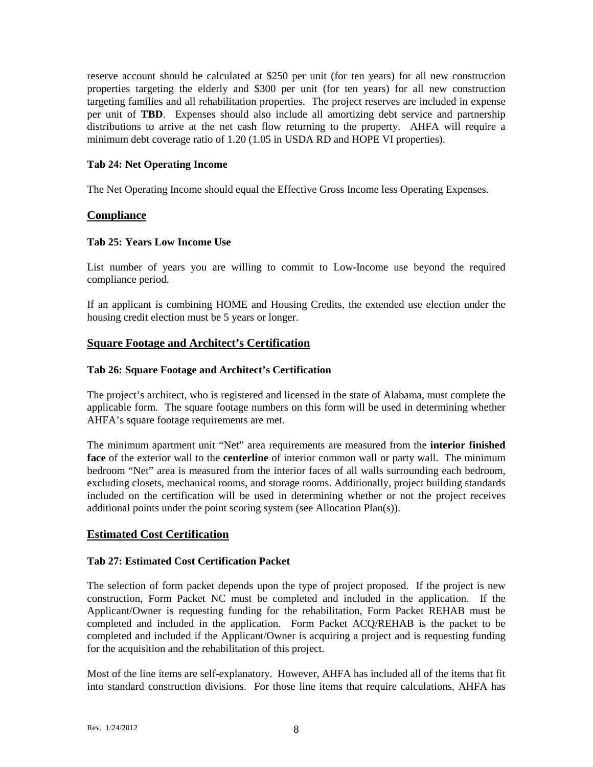reserve account should be calculated at \$250 per unit (for ten years) for all new construction properties targeting the elderly and \$300 per unit (for ten years) for all new construction targeting families and all rehabilitation properties. The project reserves are included in expense per unit of **TBD**. Expenses should also include all amortizing debt service and partnership distributions to arrive at the net cash flow returning to the property. AHFA will require a minimum debt coverage ratio of 1.20 (1.05 in USDA RD and HOPE VI properties).

#### **Tab 24: Net Operating Income**

The Net Operating Income should equal the Effective Gross Income less Operating Expenses.

#### **Compliance**

#### **Tab 25: Years Low Income Use**

List number of years you are willing to commit to Low-Income use beyond the required compliance period.

If an applicant is combining HOME and Housing Credits, the extended use election under the housing credit election must be 5 years or longer.

## **Square Footage and Architect's Certification**

#### **Tab 26: Square Footage and Architect's Certification**

The project's architect, who is registered and licensed in the state of Alabama, must complete the applicable form. The square footage numbers on this form will be used in determining whether AHFA's square footage requirements are met.

The minimum apartment unit "Net" area requirements are measured from the **interior finished face** of the exterior wall to the **centerline** of interior common wall or party wall. The minimum bedroom "Net" area is measured from the interior faces of all walls surrounding each bedroom, excluding closets, mechanical rooms, and storage rooms. Additionally, project building standards included on the certification will be used in determining whether or not the project receives additional points under the point scoring system (see Allocation Plan(s)).

#### **Estimated Cost Certification**

#### **Tab 27: Estimated Cost Certification Packet**

The selection of form packet depends upon the type of project proposed. If the project is new construction, Form Packet NC must be completed and included in the application. If the Applicant/Owner is requesting funding for the rehabilitation, Form Packet REHAB must be completed and included in the application. Form Packet ACQ/REHAB is the packet to be completed and included if the Applicant/Owner is acquiring a project and is requesting funding for the acquisition and the rehabilitation of this project.

Most of the line items are self-explanatory. However, AHFA has included all of the items that fit into standard construction divisions. For those line items that require calculations, AHFA has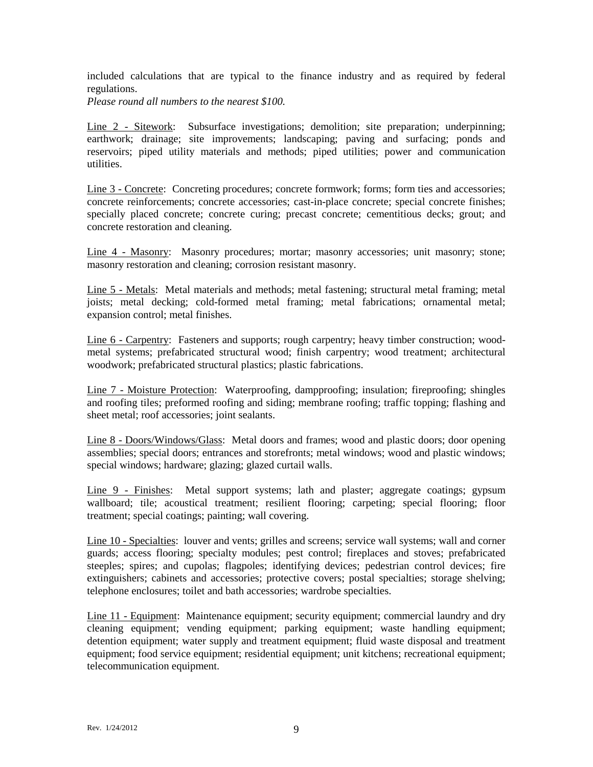included calculations that are typical to the finance industry and as required by federal regulations.

*Please round all numbers to the nearest \$100.*

Line 2 - Sitework: Subsurface investigations; demolition; site preparation; underpinning; earthwork; drainage; site improvements; landscaping; paving and surfacing; ponds and reservoirs; piped utility materials and methods; piped utilities; power and communication utilities.

Line 3 - Concrete: Concreting procedures; concrete formwork; forms; form ties and accessories; concrete reinforcements; concrete accessories; cast-in-place concrete; special concrete finishes; specially placed concrete; concrete curing; precast concrete; cementitious decks; grout; and concrete restoration and cleaning.

Line 4 - Masonry: Masonry procedures; mortar; masonry accessories; unit masonry; stone; masonry restoration and cleaning; corrosion resistant masonry.

Line 5 - Metals: Metal materials and methods; metal fastening; structural metal framing; metal joists; metal decking; cold-formed metal framing; metal fabrications; ornamental metal; expansion control; metal finishes.

Line 6 - Carpentry: Fasteners and supports; rough carpentry; heavy timber construction; woodmetal systems; prefabricated structural wood; finish carpentry; wood treatment; architectural woodwork; prefabricated structural plastics; plastic fabrications.

Line 7 - Moisture Protection: Waterproofing, dampproofing; insulation; fireproofing; shingles and roofing tiles; preformed roofing and siding; membrane roofing; traffic topping; flashing and sheet metal; roof accessories; joint sealants.

Line 8 - Doors/Windows/Glass: Metal doors and frames; wood and plastic doors; door opening assemblies; special doors; entrances and storefronts; metal windows; wood and plastic windows; special windows; hardware; glazing; glazed curtail walls.

Line 9 - Finishes: Metal support systems; lath and plaster; aggregate coatings; gypsum wallboard; tile; acoustical treatment; resilient flooring; carpeting; special flooring; floor treatment; special coatings; painting; wall covering.

Line 10 - Specialties: louver and vents; grilles and screens; service wall systems; wall and corner guards; access flooring; specialty modules; pest control; fireplaces and stoves; prefabricated steeples; spires; and cupolas; flagpoles; identifying devices; pedestrian control devices; fire extinguishers; cabinets and accessories; protective covers; postal specialties; storage shelving; telephone enclosures; toilet and bath accessories; wardrobe specialties.

Line 11 - Equipment: Maintenance equipment; security equipment; commercial laundry and dry cleaning equipment; vending equipment; parking equipment; waste handling equipment; detention equipment; water supply and treatment equipment; fluid waste disposal and treatment equipment; food service equipment; residential equipment; unit kitchens; recreational equipment; telecommunication equipment.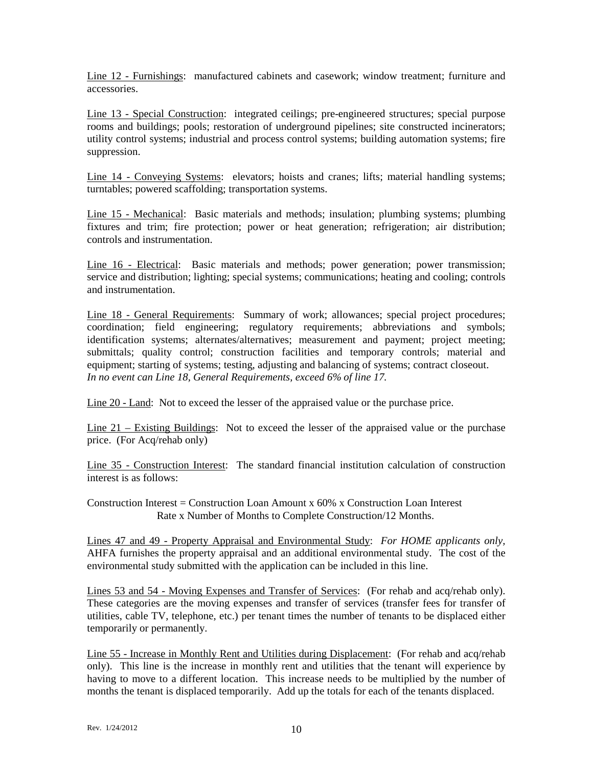Line 12 - Furnishings: manufactured cabinets and casework; window treatment; furniture and accessories.

Line 13 - Special Construction: integrated ceilings; pre-engineered structures; special purpose rooms and buildings; pools; restoration of underground pipelines; site constructed incinerators; utility control systems; industrial and process control systems; building automation systems; fire suppression.

Line 14 - Conveying Systems: elevators; hoists and cranes; lifts; material handling systems; turntables; powered scaffolding; transportation systems.

Line 15 - Mechanical: Basic materials and methods; insulation; plumbing systems; plumbing fixtures and trim; fire protection; power or heat generation; refrigeration; air distribution; controls and instrumentation.

Line 16 - Electrical: Basic materials and methods; power generation; power transmission; service and distribution; lighting; special systems; communications; heating and cooling; controls and instrumentation.

Line 18 - General Requirements: Summary of work; allowances; special project procedures; coordination; field engineering; regulatory requirements; abbreviations and symbols; identification systems; alternates/alternatives; measurement and payment; project meeting; submittals; quality control; construction facilities and temporary controls; material and equipment; starting of systems; testing, adjusting and balancing of systems; contract closeout. *In no event can Line 18, General Requirements, exceed 6% of line 17.*

Line 20 - Land: Not to exceed the lesser of the appraised value or the purchase price.

Line 21 – Existing Buildings: Not to exceed the lesser of the appraised value or the purchase price. (For Acq/rehab only)

Line 35 - Construction Interest: The standard financial institution calculation of construction interest is as follows:

Construction Interest = Construction Loan Amount  $x$  60%  $x$  Construction Loan Interest Rate x Number of Months to Complete Construction/12 Months.

Lines 47 and 49 - Property Appraisal and Environmental Study: *For HOME applicants only,* AHFA furnishes the property appraisal and an additional environmental study. The cost of the environmental study submitted with the application can be included in this line.

Lines 53 and 54 - Moving Expenses and Transfer of Services: (For rehab and acq/rehab only). These categories are the moving expenses and transfer of services (transfer fees for transfer of utilities, cable TV, telephone, etc.) per tenant times the number of tenants to be displaced either temporarily or permanently.

Line 55 - Increase in Monthly Rent and Utilities during Displacement: (For rehab and acq/rehab only). This line is the increase in monthly rent and utilities that the tenant will experience by having to move to a different location. This increase needs to be multiplied by the number of months the tenant is displaced temporarily. Add up the totals for each of the tenants displaced.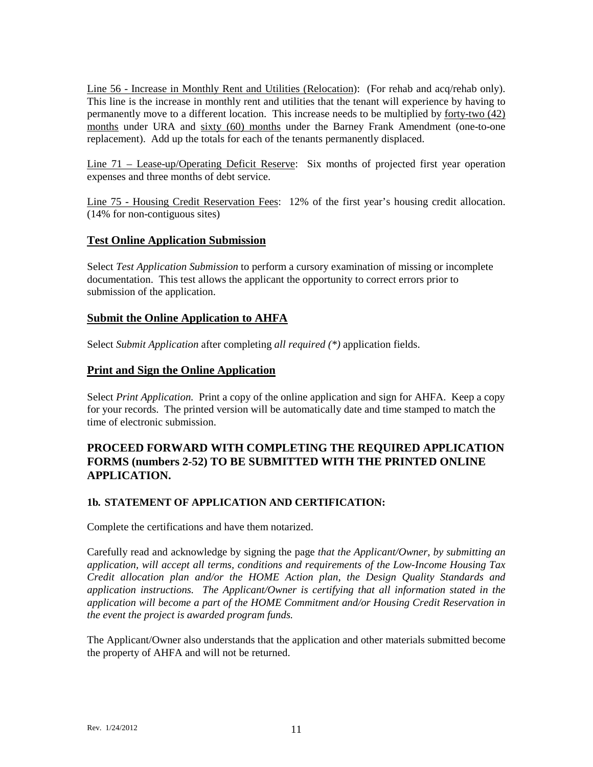Line 56 - Increase in Monthly Rent and Utilities (Relocation): (For rehab and acq/rehab only). This line is the increase in monthly rent and utilities that the tenant will experience by having to permanently move to a different location. This increase needs to be multiplied by forty-two (42) months under URA and sixty (60) months under the Barney Frank Amendment (one-to-one replacement). Add up the totals for each of the tenants permanently displaced.

Line 71 – Lease-up/Operating Deficit Reserve: Six months of projected first year operation expenses and three months of debt service.

Line 75 - Housing Credit Reservation Fees: 12% of the first year's housing credit allocation. (14% for non-contiguous sites)

## **Test Online Application Submission**

Select *Test Application Submission* to perform a cursory examination of missing or incomplete documentation. This test allows the applicant the opportunity to correct errors prior to submission of the application.

## **Submit the Online Application to AHFA**

Select *Submit Application* after completing *all required (\*)* application fields.

## **Print and Sign the Online Application**

Select *Print Application.* Print a copy of the online application and sign for AHFA. Keep a copy for your records. The printed version will be automatically date and time stamped to match the time of electronic submission.

## **PROCEED FORWARD WITH COMPLETING THE REQUIRED APPLICATION FORMS (numbers 2-52) TO BE SUBMITTED WITH THE PRINTED ONLINE APPLICATION.**

#### **1b***.* **STATEMENT OF APPLICATION AND CERTIFICATION:**

Complete the certifications and have them notarized.

Carefully read and acknowledge by signing the page *that the Applicant/Owner, by submitting an application, will accept all terms, conditions and requirements of the Low-Income Housing Tax Credit allocation plan and/or the HOME Action plan, the Design Quality Standards and application instructions. The Applicant/Owner is certifying that all information stated in the application will become a part of the HOME Commitment and/or Housing Credit Reservation in the event the project is awarded program funds.*

The Applicant/Owner also understands that the application and other materials submitted become the property of AHFA and will not be returned.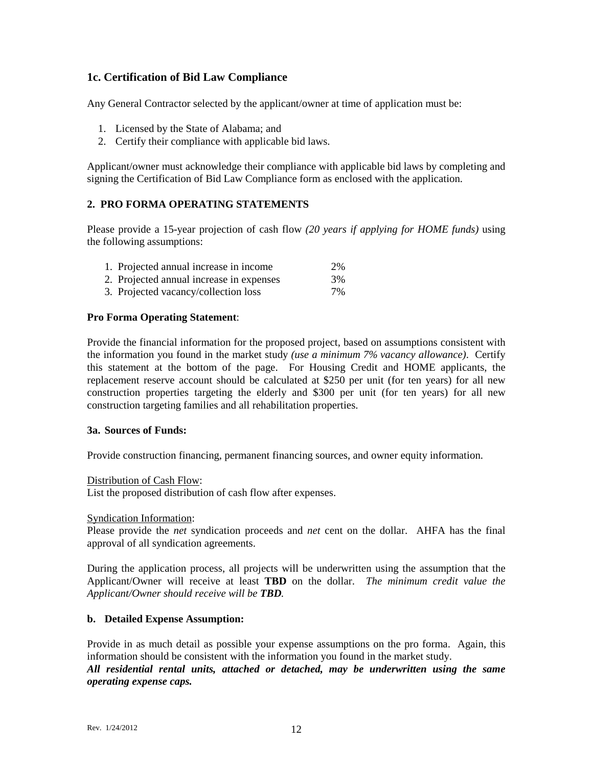## **1c. Certification of Bid Law Compliance**

Any General Contractor selected by the applicant/owner at time of application must be:

- 1. Licensed by the State of Alabama; and
- 2. Certify their compliance with applicable bid laws.

Applicant/owner must acknowledge their compliance with applicable bid laws by completing and signing the Certification of Bid Law Compliance form as enclosed with the application.

#### **2. PRO FORMA OPERATING STATEMENTS**

Please provide a 15-year projection of cash flow *(20 years if applying for HOME funds)* using the following assumptions:

| 1. Projected annual increase in income   | 2%    |
|------------------------------------------|-------|
| 2. Projected annual increase in expenses | 3%    |
| 3. Projected vacancy/collection loss     | $7\%$ |

#### **Pro Forma Operating Statement**:

Provide the financial information for the proposed project, based on assumptions consistent with the information you found in the market study *(use a minimum 7% vacancy allowance)*. Certify this statement at the bottom of the page. For Housing Credit and HOME applicants, the replacement reserve account should be calculated at \$250 per unit (for ten years) for all new construction properties targeting the elderly and \$300 per unit (for ten years) for all new construction targeting families and all rehabilitation properties.

#### **3a. Sources of Funds:**

Provide construction financing, permanent financing sources, and owner equity information.

#### Distribution of Cash Flow:

List the proposed distribution of cash flow after expenses.

#### Syndication Information:

Please provide the *net* syndication proceeds and *net* cent on the dollar. AHFA has the final approval of all syndication agreements.

During the application process, all projects will be underwritten using the assumption that the Applicant/Owner will receive at least **TBD** on the dollar. *The minimum credit value the Applicant/Owner should receive will be TBD.*

#### **b. Detailed Expense Assumption:**

Provide in as much detail as possible your expense assumptions on the pro forma. Again, this information should be consistent with the information you found in the market study. *All residential rental units, attached or detached, may be underwritten using the same operating expense caps.*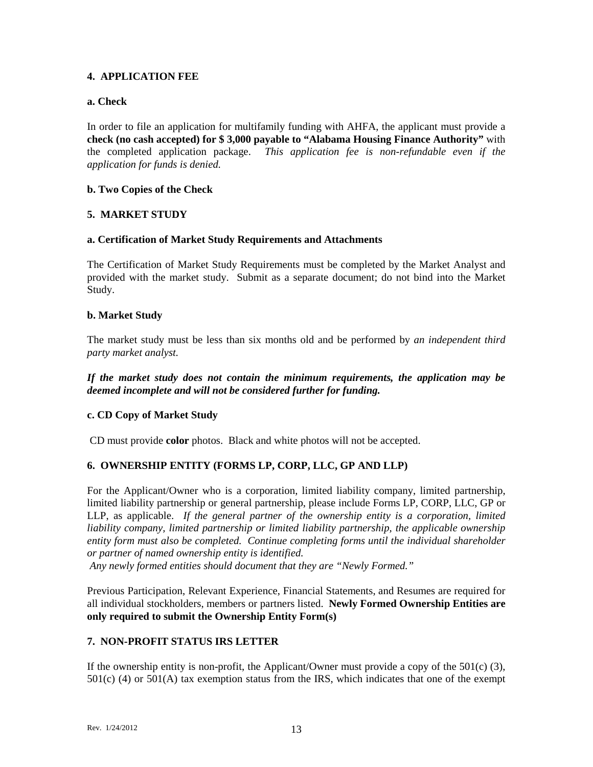#### **4. APPLICATION FEE**

#### **a. Check**

In order to file an application for multifamily funding with AHFA, the applicant must provide a **check (no cash accepted) for \$ 3,000 payable to "Alabama Housing Finance Authority"** with the completed application package. *This application fee is non-refundable even if the application for funds is denied.*

## **b. Two Copies of the Check**

## **5. MARKET STUDY**

#### **a. Certification of Market Study Requirements and Attachments**

The Certification of Market Study Requirements must be completed by the Market Analyst and provided with the market study. Submit as a separate document; do not bind into the Market Study.

#### **b. Market Study**

The market study must be less than six months old and be performed by *an independent third party market analyst.* 

*If the market study does not contain the minimum requirements, the application may be deemed incomplete and will not be considered further for funding.*

#### **c. CD Copy of Market Study**

CD must provide **color** photos. Black and white photos will not be accepted.

## **6. OWNERSHIP ENTITY (FORMS LP, CORP, LLC, GP AND LLP)**

For the Applicant/Owner who is a corporation, limited liability company, limited partnership, limited liability partnership or general partnership, please include Forms LP, CORP, LLC, GP or LLP, as applicable. *If the general partner of the ownership entity is a corporation, limited liability company, limited partnership or limited liability partnership, the applicable ownership entity form must also be completed. Continue completing forms until the individual shareholder or partner of named ownership entity is identified.*

*Any newly formed entities should document that they are "Newly Formed."*

Previous Participation, Relevant Experience, Financial Statements, and Resumes are required for all individual stockholders, members or partners listed. **Newly Formed Ownership Entities are only required to submit the Ownership Entity Form(s)**

## **7. NON-PROFIT STATUS IRS LETTER**

If the ownership entity is non-profit, the Applicant/Owner must provide a copy of the  $501(c)$  (3), 501(c) (4) or 501(A) tax exemption status from the IRS, which indicates that one of the exempt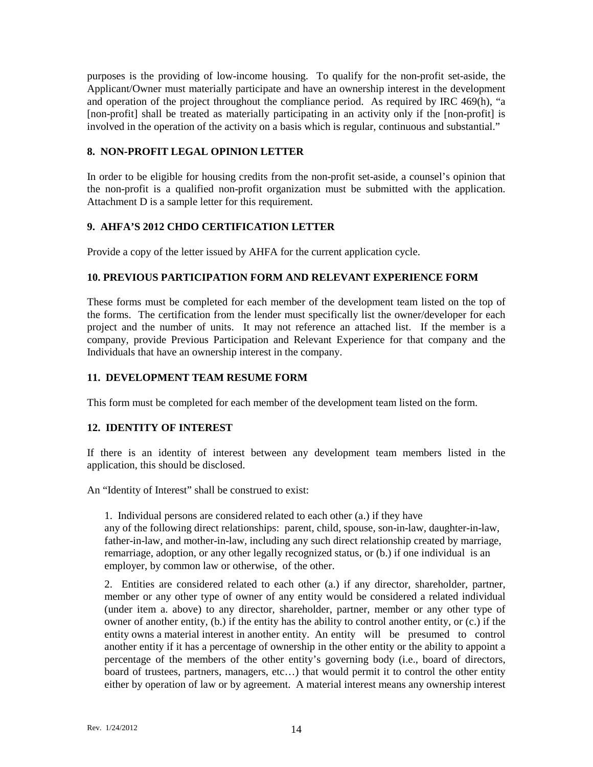purposes is the providing of low-income housing. To qualify for the non-profit set-aside, the Applicant/Owner must materially participate and have an ownership interest in the development and operation of the project throughout the compliance period. As required by IRC 469(h), "a [non-profit] shall be treated as materially participating in an activity only if the [non-profit] is involved in the operation of the activity on a basis which is regular, continuous and substantial."

## **8. NON-PROFIT LEGAL OPINION LETTER**

In order to be eligible for housing credits from the non-profit set-aside, a counsel's opinion that the non-profit is a qualified non-profit organization must be submitted with the application. Attachment D is a sample letter for this requirement.

## **9. AHFA'S 2012 CHDO CERTIFICATION LETTER**

Provide a copy of the letter issued by AHFA for the current application cycle.

## **10. PREVIOUS PARTICIPATION FORM AND RELEVANT EXPERIENCE FORM**

These forms must be completed for each member of the development team listed on the top of the forms. The certification from the lender must specifically list the owner/developer for each project and the number of units. It may not reference an attached list. If the member is a company, provide Previous Participation and Relevant Experience for that company and the Individuals that have an ownership interest in the company.

#### **11. DEVELOPMENT TEAM RESUME FORM**

This form must be completed for each member of the development team listed on the form.

#### **12. IDENTITY OF INTEREST**

If there is an identity of interest between any development team members listed in the application, this should be disclosed.

An "Identity of Interest" shall be construed to exist:

1. Individual persons are considered related to each other (a.) if they have any of the following direct relationships: parent, child, spouse, son-in-law, daughter-in-law, father-in-law, and mother-in-law, including any such direct relationship created by marriage, remarriage, adoption, or any other legally recognized status, or (b.) if one individual is an employer, by common law or otherwise, of the other.

2. Entities are considered related to each other (a.) if any director, shareholder, partner, member or any other type of owner of any entity would be considered a related individual (under item a. above) to any director, shareholder, partner, member or any other type of owner of another entity, (b.) if the entity has the ability to control another entity, or (c.) if the entity owns a material interest in another entity. An entity will be presumed to control another entity if it has a percentage of ownership in the other entity or the ability to appoint a percentage of the members of the other entity's governing body (i.e., board of directors, board of trustees, partners, managers, etc…) that would permit it to control the other entity either by operation of law or by agreement. A material interest means any ownership interest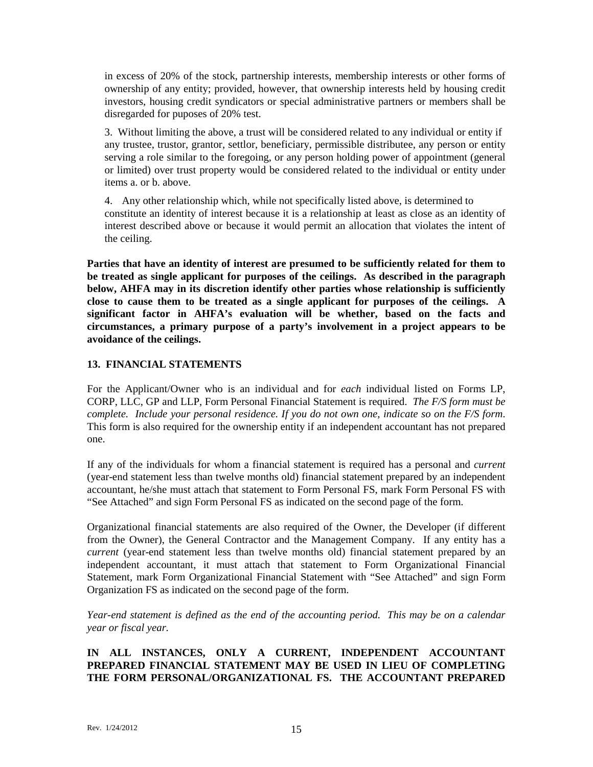in excess of 20% of the stock, partnership interests, membership interests or other forms of ownership of any entity; provided, however, that ownership interests held by housing credit investors, housing credit syndicators or special administrative partners or members shall be disregarded for puposes of 20% test.

3. Without limiting the above, a trust will be considered related to any individual or entity if any trustee, trustor, grantor, settlor, beneficiary, permissible distributee, any person or entity serving a role similar to the foregoing, or any person holding power of appointment (general or limited) over trust property would be considered related to the individual or entity under items a. or b. above.

4. Any other relationship which, while not specifically listed above, is determined to constitute an identity of interest because it is a relationship at least as close as an identity of interest described above or because it would permit an allocation that violates the intent of the ceiling.

**Parties that have an identity of interest are presumed to be sufficiently related for them to be treated as single applicant for purposes of the ceilings. As described in the paragraph below, AHFA may in its discretion identify other parties whose relationship is sufficiently close to cause them to be treated as a single applicant for purposes of the ceilings. A significant factor in AHFA's evaluation will be whether, based on the facts and circumstances, a primary purpose of a party's involvement in a project appears to be avoidance of the ceilings.** 

## **13. FINANCIAL STATEMENTS**

For the Applicant/Owner who is an individual and for *each* individual listed on Forms LP, CORP, LLC, GP and LLP, Form Personal Financial Statement is required. *The F/S form must be complete. Include your personal residence. If you do not own one, indicate so on the F/S form*. This form is also required for the ownership entity if an independent accountant has not prepared one.

If any of the individuals for whom a financial statement is required has a personal and *current* (year-end statement less than twelve months old) financial statement prepared by an independent accountant, he/she must attach that statement to Form Personal FS, mark Form Personal FS with "See Attached" and sign Form Personal FS as indicated on the second page of the form.

Organizational financial statements are also required of the Owner, the Developer (if different from the Owner), the General Contractor and the Management Company. If any entity has a *current* (year-end statement less than twelve months old) financial statement prepared by an independent accountant, it must attach that statement to Form Organizational Financial Statement, mark Form Organizational Financial Statement with "See Attached" and sign Form Organization FS as indicated on the second page of the form.

*Year-end statement is defined as the end of the accounting period. This may be on a calendar year or fiscal year.*

## **IN ALL INSTANCES, ONLY A CURRENT, INDEPENDENT ACCOUNTANT PREPARED FINANCIAL STATEMENT MAY BE USED IN LIEU OF COMPLETING THE FORM PERSONAL/ORGANIZATIONAL FS. THE ACCOUNTANT PREPARED**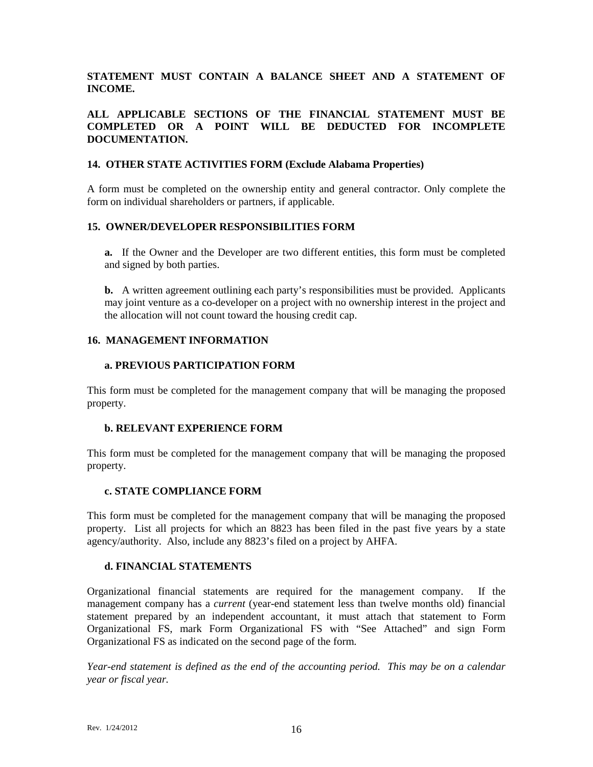## **STATEMENT MUST CONTAIN A BALANCE SHEET AND A STATEMENT OF INCOME.**

#### **ALL APPLICABLE SECTIONS OF THE FINANCIAL STATEMENT MUST BE COMPLETED OR A POINT WILL BE DEDUCTED FOR INCOMPLETE DOCUMENTATION.**

#### **14. OTHER STATE ACTIVITIES FORM (Exclude Alabama Properties)**

A form must be completed on the ownership entity and general contractor. Only complete the form on individual shareholders or partners, if applicable.

#### **15. OWNER/DEVELOPER RESPONSIBILITIES FORM**

**a.** If the Owner and the Developer are two different entities, this form must be completed and signed by both parties.

**b.** A written agreement outlining each party's responsibilities must be provided.Applicants may joint venture as a co-developer on a project with no ownership interest in the project and the allocation will not count toward the housing credit cap.

#### **16. MANAGEMENT INFORMATION**

#### **a. PREVIOUS PARTICIPATION FORM**

This form must be completed for the management company that will be managing the proposed property.

#### **b. RELEVANT EXPERIENCE FORM**

This form must be completed for the management company that will be managing the proposed property.

#### **c. STATE COMPLIANCE FORM**

This form must be completed for the management company that will be managing the proposed property. List all projects for which an 8823 has been filed in the past five years by a state agency/authority. Also, include any 8823's filed on a project by AHFA.

#### **d. FINANCIAL STATEMENTS**

Organizational financial statements are required for the management company. If the management company has a *current* (year-end statement less than twelve months old) financial statement prepared by an independent accountant, it must attach that statement to Form Organizational FS, mark Form Organizational FS with "See Attached" and sign Form Organizational FS as indicated on the second page of the form.

*Year-end statement is defined as the end of the accounting period. This may be on a calendar year or fiscal year.*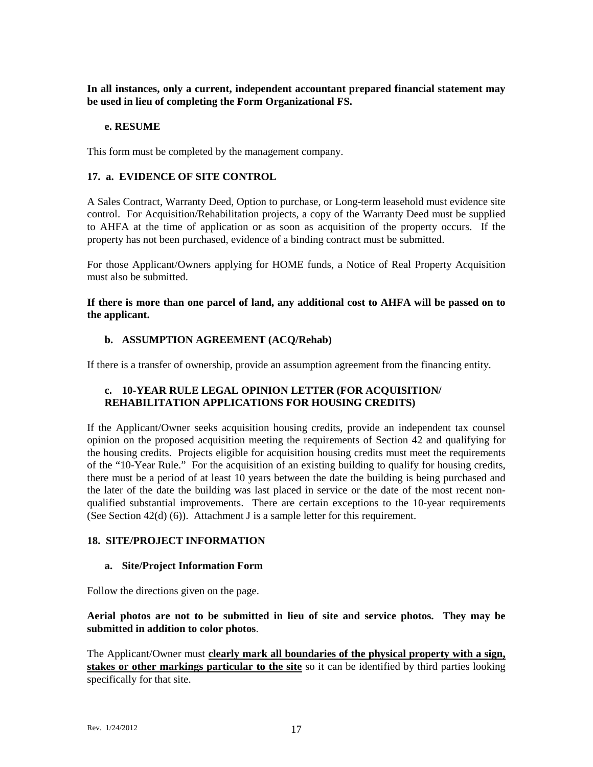**In all instances, only a current, independent accountant prepared financial statement may be used in lieu of completing the Form Organizational FS.**

#### **e. RESUME**

This form must be completed by the management company.

#### **17. a. EVIDENCE OF SITE CONTROL**

A Sales Contract, Warranty Deed, Option to purchase, or Long-term leasehold must evidence site control. For Acquisition/Rehabilitation projects, a copy of the Warranty Deed must be supplied to AHFA at the time of application or as soon as acquisition of the property occurs. If the property has not been purchased, evidence of a binding contract must be submitted.

For those Applicant/Owners applying for HOME funds, a Notice of Real Property Acquisition must also be submitted.

**If there is more than one parcel of land, any additional cost to AHFA will be passed on to the applicant.**

#### **b. ASSUMPTION AGREEMENT (ACQ/Rehab)**

If there is a transfer of ownership, provide an assumption agreement from the financing entity.

#### **c. 10-YEAR RULE LEGAL OPINION LETTER (FOR ACQUISITION/ REHABILITATION APPLICATIONS FOR HOUSING CREDITS)**

If the Applicant/Owner seeks acquisition housing credits, provide an independent tax counsel opinion on the proposed acquisition meeting the requirements of Section 42 and qualifying for the housing credits. Projects eligible for acquisition housing credits must meet the requirements of the "10-Year Rule." For the acquisition of an existing building to qualify for housing credits, there must be a period of at least 10 years between the date the building is being purchased and the later of the date the building was last placed in service or the date of the most recent nonqualified substantial improvements. There are certain exceptions to the 10-year requirements (See Section 42(d) (6)). Attachment J is a sample letter for this requirement.

#### **18. SITE/PROJECT INFORMATION**

#### **a. Site/Project Information Form**

Follow the directions given on the page.

#### **Aerial photos are not to be submitted in lieu of site and service photos. They may be submitted in addition to color photos**.

The Applicant/Owner must **clearly mark all boundaries of the physical property with a sign, stakes or other markings particular to the site** so it can be identified by third parties looking specifically for that site.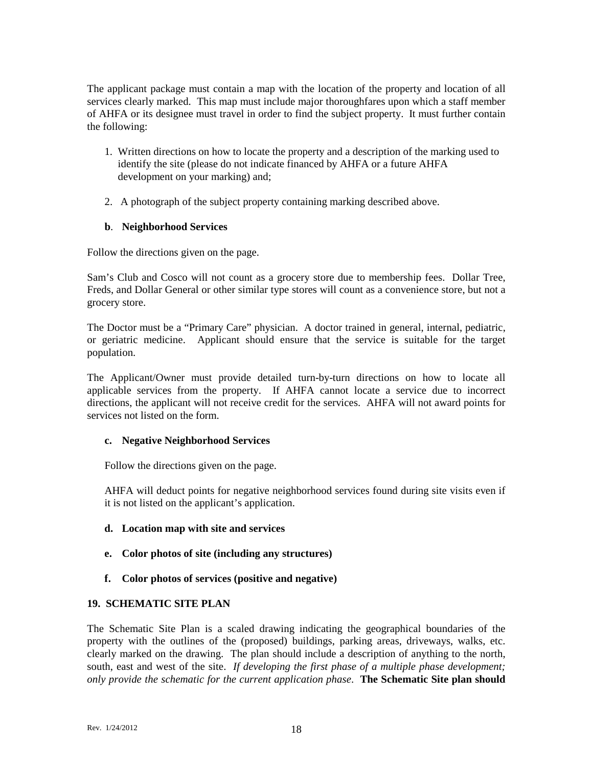The applicant package must contain a map with the location of the property and location of all services clearly marked. This map must include major thoroughfares upon which a staff member of AHFA or its designee must travel in order to find the subject property. It must further contain the following:

- 1. Written directions on how to locate the property and a description of the marking used to identify the site (please do not indicate financed by AHFA or a future AHFA development on your marking) and;
- 2. A photograph of the subject property containing marking described above.

## **b**. **Neighborhood Services**

Follow the directions given on the page.

Sam's Club and Cosco will not count as a grocery store due to membership fees. Dollar Tree, Freds, and Dollar General or other similar type stores will count as a convenience store, but not a grocery store.

The Doctor must be a "Primary Care" physician. A doctor trained in general, internal, pediatric, or geriatric medicine. Applicant should ensure that the service is suitable for the target population.

The Applicant/Owner must provide detailed turn-by-turn directions on how to locate all applicable services from the property. If AHFA cannot locate a service due to incorrect directions, the applicant will not receive credit for the services. AHFA will not award points for services not listed on the form.

#### **c. Negative Neighborhood Services**

Follow the directions given on the page.

AHFA will deduct points for negative neighborhood services found during site visits even if it is not listed on the applicant's application.

- **d. Location map with site and services**
- **e. Color photos of site (including any structures)**
- **f. Color photos of services (positive and negative)**

#### **19. SCHEMATIC SITE PLAN**

The Schematic Site Plan is a scaled drawing indicating the geographical boundaries of the property with the outlines of the (proposed) buildings, parking areas, driveways, walks, etc. clearly marked on the drawing. The plan should include a description of anything to the north, south, east and west of the site. *If developing the first phase of a multiple phase development; only provide the schematic for the current application phase*. **The Schematic Site plan should**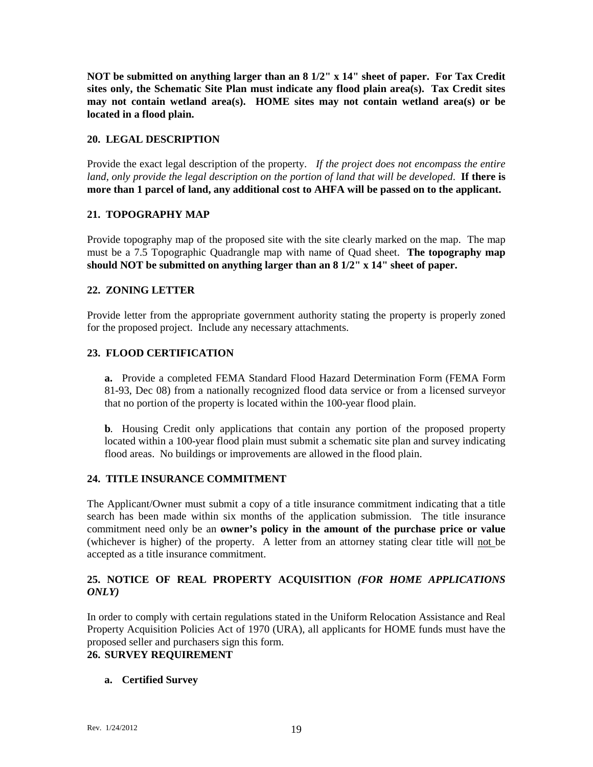**NOT be submitted on anything larger than an 8 1/2" x 14" sheet of paper. For Tax Credit sites only, the Schematic Site Plan must indicate any flood plain area(s). Tax Credit sites may not contain wetland area(s). HOME sites may not contain wetland area(s) or be located in a flood plain.** 

## **20. LEGAL DESCRIPTION**

Provide the exact legal description of the property. *If the project does not encompass the entire land, only provide the legal description on the portion of land that will be developed*. **If there is more than 1 parcel of land, any additional cost to AHFA will be passed on to the applicant.**

#### **21. TOPOGRAPHY MAP**

Provide topography map of the proposed site with the site clearly marked on the map. The map must be a 7.5 Topographic Quadrangle map with name of Quad sheet. **The topography map should NOT be submitted on anything larger than an 8 1/2" x 14" sheet of paper.**

## **22. ZONING LETTER**

Provide letter from the appropriate government authority stating the property is properly zoned for the proposed project. Include any necessary attachments.

#### **23. FLOOD CERTIFICATION**

**a.** Provide a completed FEMA Standard Flood Hazard Determination Form (FEMA Form 81-93, Dec 08) from a nationally recognized flood data service or from a licensed surveyor that no portion of the property is located within the 100-year flood plain.

**b***.* Housing Credit only applications that contain any portion of the proposed property located within a 100-year flood plain must submit a schematic site plan and survey indicating flood areas. No buildings or improvements are allowed in the flood plain.

#### **24. TITLE INSURANCE COMMITMENT**

The Applicant/Owner must submit a copy of a title insurance commitment indicating that a title search has been made within six months of the application submission. The title insurance commitment need only be an **owner's policy in the amount of the purchase price or value** (whichever is higher) of the property. A letter from an attorney stating clear title will not be accepted as a title insurance commitment.

## **25. NOTICE OF REAL PROPERTY ACQUISITION** *(FOR HOME APPLICATIONS ONLY)*

In order to comply with certain regulations stated in the Uniform Relocation Assistance and Real Property Acquisition Policies Act of 1970 (URA), all applicants for HOME funds must have the proposed seller and purchasers sign this form.

## **26. SURVEY REQUIREMENT**

#### **a. Certified Survey**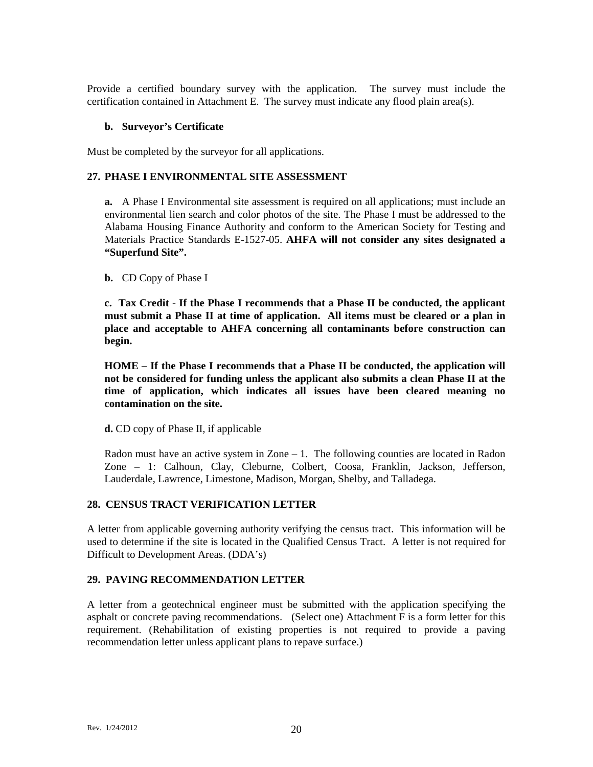Provide a certified boundary survey with the application. The survey must include the certification contained in Attachment E. The survey must indicate any flood plain area(s).

#### **b. Surveyor's Certificate**

Must be completed by the surveyor for all applications.

#### **27. PHASE I ENVIRONMENTAL SITE ASSESSMENT**

**a.** A Phase I Environmental site assessment is required on all applications; must include an environmental lien search and color photos of the site. The Phase I must be addressed to the Alabama Housing Finance Authority and conform to the American Society for Testing and Materials Practice Standards E-1527-05. **AHFA will not consider any sites designated a "Superfund Site".**

#### **b.** CD Copy of Phase I

**c. Tax Credit** - **If the Phase I recommends that a Phase II be conducted, the applicant must submit a Phase II at time of application. All items must be cleared or a plan in place and acceptable to AHFA concerning all contaminants before construction can begin.** 

**HOME – If the Phase I recommends that a Phase II be conducted, the application will not be considered for funding unless the applicant also submits a clean Phase II at the time of application, which indicates all issues have been cleared meaning no contamination on the site.** 

**d.** CD copy of Phase II, if applicable

Radon must have an active system in Zone – 1. The following counties are located in Radon Zone – 1: Calhoun, Clay, Cleburne, Colbert, Coosa, Franklin, Jackson, Jefferson, Lauderdale, Lawrence, Limestone, Madison, Morgan, Shelby, and Talladega.

#### **28. CENSUS TRACT VERIFICATION LETTER**

A letter from applicable governing authority verifying the census tract. This information will be used to determine if the site is located in the Qualified Census Tract. A letter is not required for Difficult to Development Areas. (DDA's)

#### **29. PAVING RECOMMENDATION LETTER**

A letter from a geotechnical engineer must be submitted with the application specifying the asphalt or concrete paving recommendations. (Select one) Attachment F is a form letter for this requirement. (Rehabilitation of existing properties is not required to provide a paving recommendation letter unless applicant plans to repave surface.)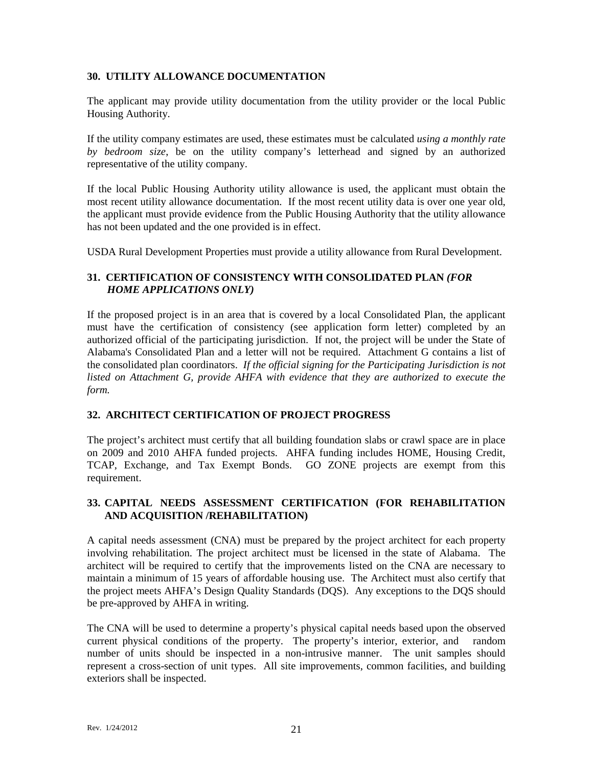#### **30. UTILITY ALLOWANCE DOCUMENTATION**

The applicant may provide utility documentation from the utility provider or the local Public Housing Authority.

If the utility company estimates are used, these estimates must be calculated *using a monthly rate by bedroom size*, be on the utility company's letterhead and signed by an authorized representative of the utility company.

If the local Public Housing Authority utility allowance is used, the applicant must obtain the most recent utility allowance documentation. If the most recent utility data is over one year old, the applicant must provide evidence from the Public Housing Authority that the utility allowance has not been updated and the one provided is in effect.

USDA Rural Development Properties must provide a utility allowance from Rural Development.

## **31. CERTIFICATION OF CONSISTENCY WITH CONSOLIDATED PLAN** *(FOR HOME APPLICATIONS ONLY)*

If the proposed project is in an area that is covered by a local Consolidated Plan, the applicant must have the certification of consistency (see application form letter) completed by an authorized official of the participating jurisdiction. If not, the project will be under the State of Alabama's Consolidated Plan and a letter will not be required. Attachment G contains a list of the consolidated plan coordinators. *If the official signing for the Participating Jurisdiction is not*  listed on Attachment G, provide AHFA with evidence that they are authorized to execute the *form.*

#### **32. ARCHITECT CERTIFICATION OF PROJECT PROGRESS**

The project's architect must certify that all building foundation slabs or crawl space are in place on 2009 and 2010 AHFA funded projects. AHFA funding includes HOME, Housing Credit, TCAP, Exchange, and Tax Exempt Bonds. GO ZONE projects are exempt from this requirement.

## **33. CAPITAL NEEDS ASSESSMENT CERTIFICATION (FOR REHABILITATION AND ACQUISITION /REHABILITATION)**

A capital needs assessment (CNA) must be prepared by the project architect for each property involving rehabilitation. The project architect must be licensed in the state of Alabama. The architect will be required to certify that the improvements listed on the CNA are necessary to maintain a minimum of 15 years of affordable housing use. The Architect must also certify that the project meets AHFA's Design Quality Standards (DQS). Any exceptions to the DQS should be pre-approved by AHFA in writing.

The CNA will be used to determine a property's physical capital needs based upon the observed current physical conditions of the property. The property's interior, exterior, and random number of units should be inspected in a non-intrusive manner. The unit samples should represent a cross-section of unit types. All site improvements, common facilities, and building exteriors shall be inspected.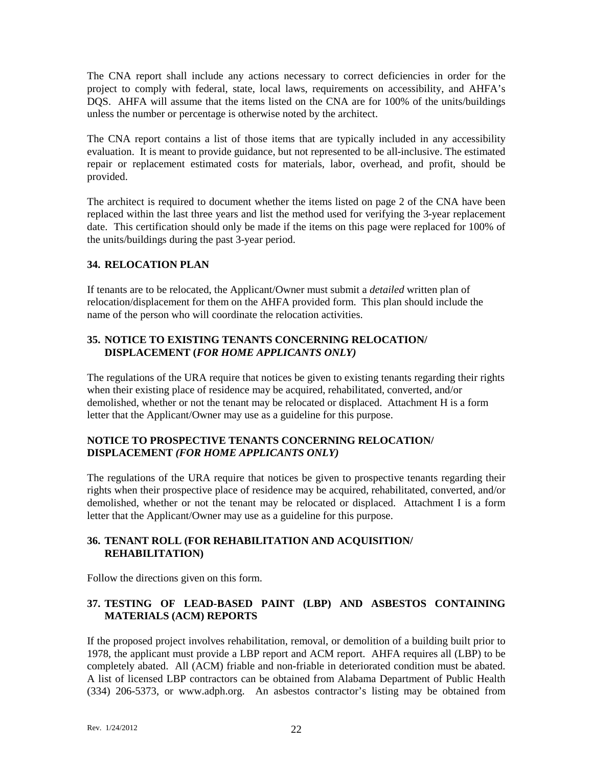The CNA report shall include any actions necessary to correct deficiencies in order for the project to comply with federal, state, local laws, requirements on accessibility, and AHFA's DQS. AHFA will assume that the items listed on the CNA are for 100% of the units/buildings unless the number or percentage is otherwise noted by the architect.

The CNA report contains a list of those items that are typically included in any accessibility evaluation. It is meant to provide guidance, but not represented to be all-inclusive. The estimated repair or replacement estimated costs for materials, labor, overhead, and profit, should be provided.

The architect is required to document whether the items listed on page 2 of the CNA have been replaced within the last three years and list the method used for verifying the 3-year replacement date. This certification should only be made if the items on this page were replaced for 100% of the units/buildings during the past 3-year period.

## **34. RELOCATION PLAN**

If tenants are to be relocated, the Applicant/Owner must submit a *detailed* written plan of relocation/displacement for them on the AHFA provided form. This plan should include the name of the person who will coordinate the relocation activities.

#### **35. NOTICE TO EXISTING TENANTS CONCERNING RELOCATION/ DISPLACEMENT (***FOR HOME APPLICANTS ONLY)*

The regulations of the URA require that notices be given to existing tenants regarding their rights when their existing place of residence may be acquired, rehabilitated, converted, and/or demolished, whether or not the tenant may be relocated or displaced. Attachment H is a form letter that the Applicant/Owner may use as a guideline for this purpose.

## **NOTICE TO PROSPECTIVE TENANTS CONCERNING RELOCATION/ DISPLACEMENT** *(FOR HOME APPLICANTS ONLY)*

The regulations of the URA require that notices be given to prospective tenants regarding their rights when their prospective place of residence may be acquired, rehabilitated, converted, and/or demolished, whether or not the tenant may be relocated or displaced. Attachment I is a form letter that the Applicant/Owner may use as a guideline for this purpose.

## **36. TENANT ROLL (FOR REHABILITATION AND ACQUISITION/ REHABILITATION)**

Follow the directions given on this form.

## **37. TESTING OF LEAD-BASED PAINT (LBP) AND ASBESTOS CONTAINING MATERIALS (ACM) REPORTS**

If the proposed project involves rehabilitation, removal, or demolition of a building built prior to 1978, the applicant must provide a LBP report and ACM report. AHFA requires all (LBP) to be completely abated. All (ACM) friable and non-friable in deteriorated condition must be abated. A list of licensed LBP contractors can be obtained from Alabama Department of Public Health (334) 206-5373, or www.adph.org. An asbestos contractor's listing may be obtained from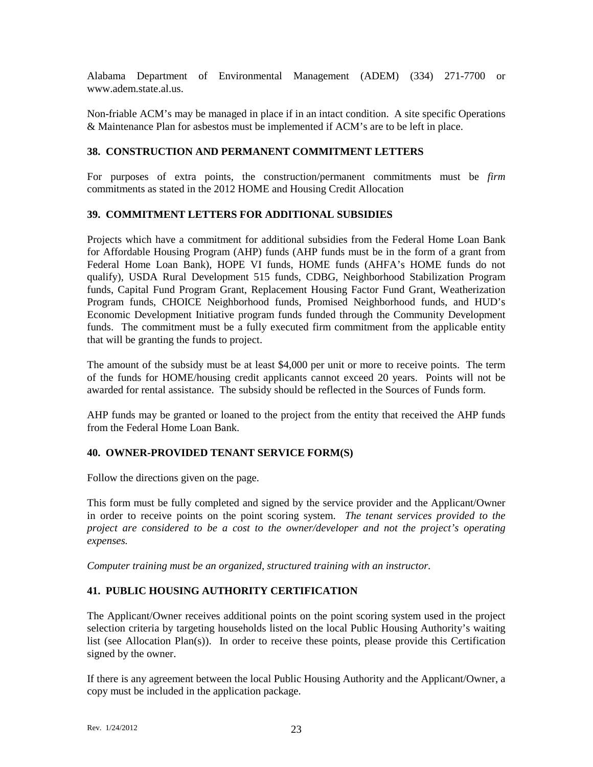Alabama Department of Environmental Management (ADEM) (334) 271-7700 or www.adem.state.al.us.

Non-friable ACM's may be managed in place if in an intact condition. A site specific Operations & Maintenance Plan for asbestos must be implemented if ACM's are to be left in place.

## **38. CONSTRUCTION AND PERMANENT COMMITMENT LETTERS**

For purposes of extra points, the construction/permanent commitments must be *firm* commitments as stated in the 2012 HOME and Housing Credit Allocation

#### **39. COMMITMENT LETTERS FOR ADDITIONAL SUBSIDIES**

Projects which have a commitment for additional subsidies from the Federal Home Loan Bank for Affordable Housing Program (AHP) funds (AHP funds must be in the form of a grant from Federal Home Loan Bank), HOPE VI funds, HOME funds (AHFA's HOME funds do not qualify), USDA Rural Development 515 funds, CDBG, Neighborhood Stabilization Program funds, Capital Fund Program Grant, Replacement Housing Factor Fund Grant, Weatherization Program funds, CHOICE Neighborhood funds, Promised Neighborhood funds, and HUD's Economic Development Initiative program funds funded through the Community Development funds. The commitment must be a fully executed firm commitment from the applicable entity that will be granting the funds to project.

The amount of the subsidy must be at least \$4,000 per unit or more to receive points. The term of the funds for HOME/housing credit applicants cannot exceed 20 years. Points will not be awarded for rental assistance. The subsidy should be reflected in the Sources of Funds form.

AHP funds may be granted or loaned to the project from the entity that received the AHP funds from the Federal Home Loan Bank.

#### **40. OWNER-PROVIDED TENANT SERVICE FORM(S)**

Follow the directions given on the page.

This form must be fully completed and signed by the service provider and the Applicant/Owner in order to receive points on the point scoring system. *The tenant services provided to the project are considered to be a cost to the owner/developer and not the project's operating expenses.* 

*Computer training must be an organized, structured training with an instructor.* 

#### **41. PUBLIC HOUSING AUTHORITY CERTIFICATION**

The Applicant/Owner receives additional points on the point scoring system used in the project selection criteria by targeting households listed on the local Public Housing Authority's waiting list (see Allocation Plan(s)). In order to receive these points, please provide this Certification signed by the owner.

If there is any agreement between the local Public Housing Authority and the Applicant/Owner, a copy must be included in the application package.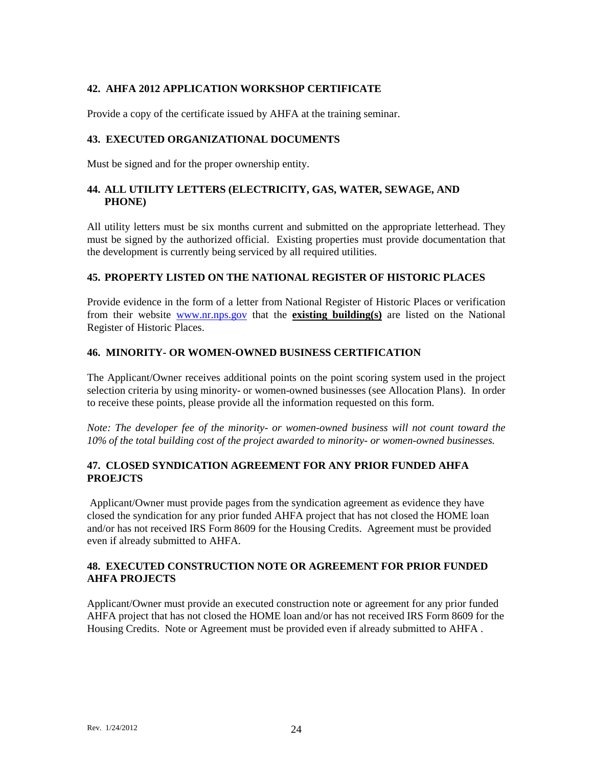## **42. AHFA 2012 APPLICATION WORKSHOP CERTIFICATE**

Provide a copy of the certificate issued by AHFA at the training seminar.

#### **43. EXECUTED ORGANIZATIONAL DOCUMENTS**

Must be signed and for the proper ownership entity.

## **44. ALL UTILITY LETTERS (ELECTRICITY, GAS, WATER, SEWAGE, AND PHONE)**

All utility letters must be six months current and submitted on the appropriate letterhead. They must be signed by the authorized official. Existing properties must provide documentation that the development is currently being serviced by all required utilities.

## **45. PROPERTY LISTED ON THE NATIONAL REGISTER OF HISTORIC PLACES**

Provide evidence in the form of a letter from National Register of Historic Places or verification from their website [www.nr.nps.gov](http://www.nr.nps.gov/) that the **existing building(s)** are listed on the National Register of Historic Places.

#### **46. MINORITY- OR WOMEN-OWNED BUSINESS CERTIFICATION**

The Applicant/Owner receives additional points on the point scoring system used in the project selection criteria by using minority- or women-owned businesses (see Allocation Plans). In order to receive these points, please provide all the information requested on this form.

*Note: The developer fee of the minority- or women-owned business will not count toward the 10% of the total building cost of the project awarded to minority- or women-owned businesses.*

## **47. CLOSED SYNDICATION AGREEMENT FOR ANY PRIOR FUNDED AHFA PROEJCTS**

Applicant/Owner must provide pages from the syndication agreement as evidence they have closed the syndication for any prior funded AHFA project that has not closed the HOME loan and/or has not received IRS Form 8609 for the Housing Credits. Agreement must be provided even if already submitted to AHFA.

#### **48. EXECUTED CONSTRUCTION NOTE OR AGREEMENT FOR PRIOR FUNDED AHFA PROJECTS**

Applicant/Owner must provide an executed construction note or agreement for any prior funded AHFA project that has not closed the HOME loan and/or has not received IRS Form 8609 for the Housing Credits. Note or Agreement must be provided even if already submitted to AHFA .